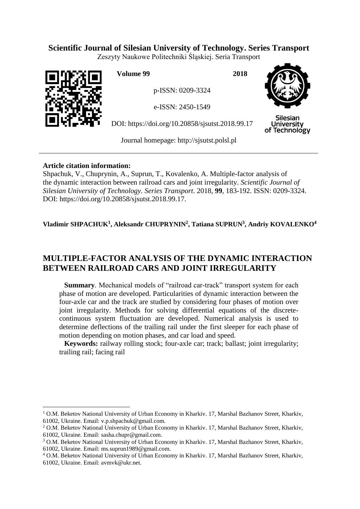# **Scientific Journal of Silesian University of Technology. Series Transport**

Zeszyty Naukowe Politechniki Śląskiej. Seria Transport



 $\overline{a}$ 

**Volume 99 2018**

p-ISSN: 0209-3324

e-ISSN: 2450-1549

DOI: https://doi.org/10.20858/sjsutst.2018.99.17



Silesian **University** of Technology

Journal homepage: [http://sjsutst.polsl.pl](http://sjsutst.polsl.pl/)

# **Article citation information:**

Shpachuk, V., Chuprynin, A., Suprun, T., Kovalenko, A. Multiple-factor analysis of the dynamic interaction between railroad cars and joint irregularity. *Scientific Journal of Silesian University of Technology. Series Transport*. 2018, **99**, 183-192. ISSN: 0209-3324. DOI: https://doi.org/10.20858/sjsutst.2018.99.17.

# **Vladimir SHPACHUK<sup>1</sup> , Aleksandr CHUPRYNIN<sup>2</sup> , Tatiana SUPRUN<sup>3</sup> , Andriy KOVALENKO<sup>4</sup>**

# **MULTIPLE-FACTOR ANALYSIS OF THE DYNAMIC INTERACTION BETWEEN RAILROAD CARS AND JOINT IRREGULARITY**

**Summary**. Mechanical models of "railroad car-track" transport system for each phase of motion are developed. Particularities of dynamic interaction between the four-axle car and the track are studied by considering four phases of motion over joint irregularity. Methods for solving differential equations of the discretecontinuous system fluctuation are developed. Numerical analysis is used to determine deflections of the trailing rail under the first sleeper for each phase of motion depending on motion phases, and car load and speed.

**Keywords:** railway rolling stock; four-axle car; track; ballast; joint irregularity; trailing rail; facing rail

 $1$  O.M. Beketov National University of Urban Economy in Kharkiv. 17, Marshal Bazhanov Street, Kharkiv, 61002, Ukraine. Email: v.p.shpachuk@gmail.com.

<sup>2</sup> O.M. Beketov National University of Urban Economy in Kharkiv. 17, Marshal Bazhanov Street, Kharkiv, 61002, Ukraine. Email: sasha.chupr@gmail.com.

<sup>3</sup> O.M. Beketov National University of Urban Economy in Kharkiv. 17, Marshal Bazhanov Street, Kharkiv, 61002, Ukraine. Email: ms.suprun1989@gmail.com.

<sup>4</sup> O.M. Beketov National University of Urban Economy in Kharkiv. 17, Marshal Bazhanov Street, Kharkiv, 61002, Ukraine. Email: avmvk@ukr.net.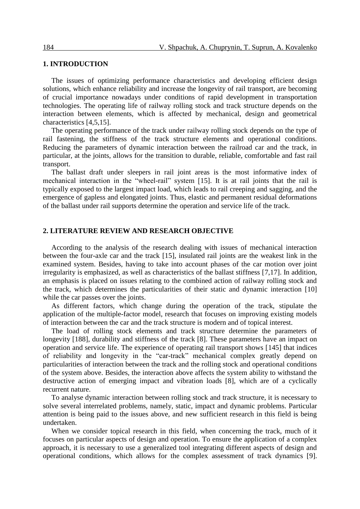#### **1. INTRODUCTION**

The issues of optimizing performance characteristics and developing efficient design solutions, which enhance reliability and increase the longevity of rail transport, are becoming of crucial importance nowadays under conditions of rapid development in transportation technologies. The operating life of railway rolling stock and track structure depends on the interaction between elements, which is affected by mechanical, design and geometrical characteristics [4,5,15].

The operating performance of the track under railway rolling stock depends on the type of rail fastening, the stiffness of the track structure elements and operational conditions. Reducing the parameters of dynamic interaction between the railroad car and the track, in particular, at the joints, allows for the transition to durable, reliable, comfortable and fast rail transport.

The ballast draft under sleepers in rail joint areas is the most informative index of mechanical interaction in the "wheel-rail" system [15]. It is at rail joints that the rail is typically exposed to the largest impact load, which leads to rail creeping and sagging, and the emergence of gapless and elongated joints. Thus, elastic and permanent residual deformations of the ballast under rail supports determine the operation and service life of the track.

#### **2. LITERATURE REVIEW AND RESEARCH OBJECTIVE**

According to the analysis of the research dealing with issues of mechanical interaction between the four-axle car and the track [15], insulated rail joints are the weakest link in the examined system. Besides, having to take into account phases of the car motion over joint irregularity is emphasized, as well as characteristics of the ballast stiffness [7,17]. In addition, an emphasis is placed on issues relating to the combined action of railway rolling stock and the track, which determines the particularities of their static and dynamic interaction [10] while the car passes over the joints.

As different factors, which change during the operation of the track, stipulate the application of the multiple-factor model, research that focuses on improving existing models of interaction between the car and the track structure is modern and of topical interest.

The load of rolling stock elements and track structure determine the parameters of longevity [\[188](#page-9-0)], durability and stiffness of the track [8]. These parameters have an impact on operation and service life. The experience of operating rail transport shows [\[145](#page-8-0)] that indices of reliability and longevity in the "car-track" mechanical complex greatly depend on particularities of interaction between the track and the rolling stock and operational conditions of the system above. Besides, the interaction above affects the system ability to withstand the destructive action of emerging impact and vibration loads [8], which are of a cyclically recurrent nature.

To analyse dynamic interaction between rolling stock and track structure, it is necessary to solve several interrelated problems, namely, static, impact and dynamic problems. Particular attention is being paid to the issues above, and new sufficient research in this field is being undertaken.

When we consider topical research in this field, when concerning the track, much of it focuses on particular aspects of design and operation. To ensure the application of a complex approach, it is necessary to use a generalized tool integrating different aspects of design and operational conditions, which allows for the complex assessment of track dynamics [9].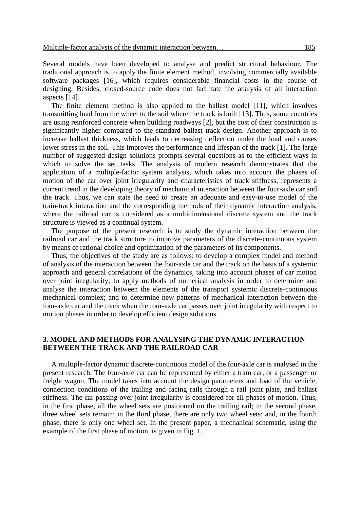Several models have been developed to analyse and predict structural behaviour. The traditional approach is to apply the finite element method, involving commercially available software packages [16], which requires considerable financial costs in the course of designing. Besides, closed-source code does not facilitate the analysis of all interaction aspects [14].

The finite element method is also applied to the ballast model [11], which involves transmitting load from the wheel to the soil where the track is built [13]. Thus, some countries are using reinforced concrete when building roadways [\[2\]](#page-8-1), but the cost of their construction is significantly higher compared to the standard ballast track design. Another approach is to increase ballast thickness, which leads to decreasing deflection under the load and causes lower stress in the soil. This improves the performance and lifespan of the track [\[1\]](#page-7-0). The large number of suggested design solutions prompts several questions as to the efficient ways in which to solve the set tasks. The analysis of modern research demonstrates that the application of a multiple-factor system analysis, which takes into account the phases of motion of the car over joint irregularity and characteristics of track stiffness, represents a current trend in the developing theory of mechanical interaction between the four-axle car and the track. Thus, we can state the need to create an adequate and easy-to-use model of the train-track interaction and the corresponding methods of their dynamic interaction analysis, where the railroad car is considered as a multidimensional discrete system and the track structure is viewed as a continual system.

The purpose of the present research is to study the dynamic interaction between the railroad car and the track structure to improve parameters of the discrete-continuous system by means of rational choice and optimization of the parameters of its components.

Thus, the objectives of the study are as follows: to develop a complex model and method of analysis of the interaction between the four-axle car and the track on the basis of a systemic approach and general correlations of the dynamics, taking into account phases of car motion over joint irregularity; to apply methods of numerical analysis in order to determine and analyse the interaction between the elements of the transport systemic discrete-continuous mechanical complex; and to determine new patterns of mechanical interaction between the four-axle car and the track when the four-axle car passes over joint irregularity with respect to motion phases in order to develop efficient design solutions.

### **3. MODEL AND METHODS FOR ANALYSING THE DYNAMIC INTERACTION BETWEEN THE TRACK AND THE RAILROAD CAR**

A multiple-factor dynamic discrete-continuous model of the four-axle car is analysed in the present research. The four-axle car can be represented by either a tram car, or a passenger or freight wagon. The model takes into account the design parameters and load of the vehicle, connection conditions of the trailing and facing rails through a rail joint plate, and ballast stiffness. The car passing over joint irregularity is considered for all phases of motion. Thus, in the first phase, all the wheel sets are positioned on the trailing rail; in the second phase, three wheel sets remain; in the third phase, there are only two wheel sets; and, in the fourth phase, there is only one wheel set. In the present paper, a mechanical schematic, using the example of the first phase of motion, is given in Fig. 1.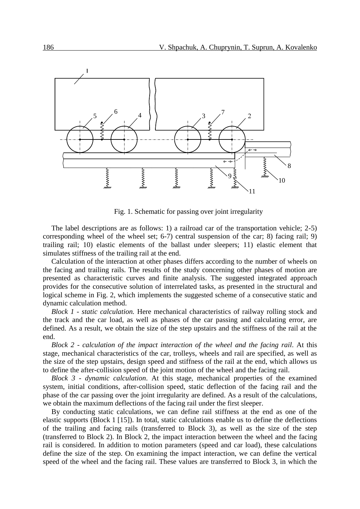

Fig. 1. Schematic for passing over joint irregularity

The label descriptions are as follows: 1) a railroad car of the transportation vehicle; 2-5) corresponding wheel of the wheel set; 6-7) central suspension of the car; 8) facing rail; 9) trailing rail; 10) elastic elements of the ballast under sleepers; 11) elastic element that simulates stiffness of the trailing rail at the end.

Calculation of the interaction at other phases differs according to the number of wheels on the facing and trailing rails. The results of the study concerning other phases of motion are presented as characteristic curves and finite analysis. The suggested integrated approach provides for the consecutive solution of interrelated tasks, as presented in the structural and logical scheme in Fig. 2, which implements the suggested scheme of a consecutive static and dynamic calculation method.

*Block 1 - static calculation.* Here mechanical characteristics of railway rolling stock and the track and the car load, as well as phases of the car passing and calculating error, are defined. As a result, we obtain the size of the step upstairs and the stiffness of the rail at the end.

*Block 2 - calculation of the impact interaction of the wheel and the facing rail*. At this stage, mechanical characteristics of the car, trolleys, wheels and rail are specified, as well as the size of the step upstairs, design speed and stiffness of the rail at the end, which allows us to define the after-collision speed of the joint motion of the wheel and the facing rail.

*Block 3 - dynamic calculation*. At this stage, mechanical properties of the examined system, initial conditions, after-collision speed, static deflection of the facing rail and the phase of the car passing over the joint irregularity are defined. As a result of the calculations, we obtain the maximum deflections of the facing rail under the first sleeper.

By conducting static calculations, we can define rail stiffness at the end as one of the elastic supports (Block 1 [15]). In total, static calculations enable us to define the deflections of the trailing and facing rails (transferred to Block 3), as well as the size of the step (transferred to Block 2). In Block 2, the impact interaction between the wheel and the facing rail is considered. In addition to motion parameters (speed and car load), these calculations define the size of the step. On examining the impact interaction, we can define the vertical speed of the wheel and the facing rail. These values are transferred to Block 3, in which the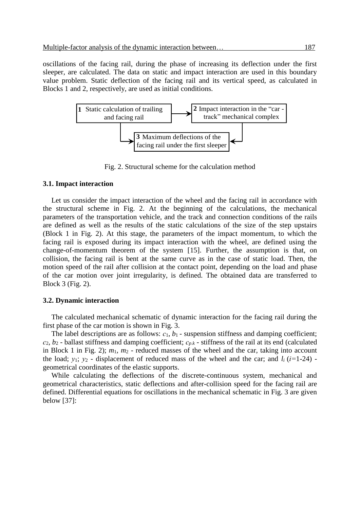oscillations of the facing rail, during the phase of increasing its deflection under the first sleeper, are calculated. The data on static and impact interaction are used in this boundary value problem. Static deflection of the facing rail and its vertical speed, as calculated in Blocks 1 and 2, respectively, are used as initial conditions.



Fig. 2. Structural scheme for the calculation method

#### **3.1. Impact interaction**

Let us consider the impact interaction of the wheel and the facing rail in accordance with the structural scheme in Fig. 2. At the beginning of the calculations, the mechanical parameters of the transportation vehicle, and the track and connection conditions of the rails are defined as well as the results of the static calculations of the size of the step upstairs (Block 1 in Fig. 2). At this stage, the parameters of the impact momentum, to which the facing rail is exposed during its impact interaction with the wheel, are defined using the change-of-momentum theorem of the system [15]. Further, the assumption is that, on collision, the facing rail is bent at the same curve as in the case of static load. Then, the motion speed of the rail after collision at the contact point, depending on the load and phase of the car motion over joint irregularity, is defined. The obtained data are transferred to Block 3 (Fig. 2).

#### **3.2. Dynamic interaction**

The calculated mechanical schematic of dynamic interaction for the facing rail during the first phase of the car motion is shown in Fig. 3.

The label descriptions are as follows:  $c_1$ ,  $b_1$  - suspension stiffness and damping coefficient; *с*2, *b*<sup>2</sup> - ballast stiffness and damping coefficient; *сp*.*<sup>k</sup>* - stiffness of the rail at its end (calculated in Block 1 in Fig. 2); *m*1, *m*<sup>2</sup> - reduced masses of the wheel and the car, taking into account the load;  $y_1$ ;  $y_2$  - displacement of reduced mass of the wheel and the car; and  $l_i$  ( $i=1-24$ ) geometrical coordinates of the elastic supports.

While calculating the deflections of the discrete-continuous system, mechanical and geometrical characteristics, static deflections and after-collision speed for the facing rail are defined. Differential equations for oscillations in the mechanical schematic in Fig. 3 are given below [\[37](#page-8-2)]: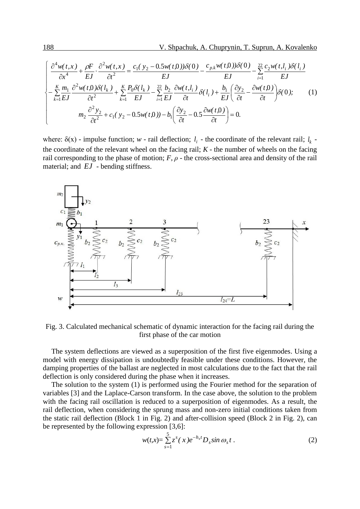188  
\nV. Shpachuk, A. Chuprynin, T. Suprun, A. Kovalenko  
\n
$$
\left\{\n\begin{aligned}\n\frac{\partial^4 w(t, x)}{\partial x^4} + \frac{\rho F}{EJ} \cdot \frac{\partial^2 w(t, x)}{\partial t^2} &= \frac{c_1(y_2 - 0.5w(t, 0))\delta(0)}{EJ} - \frac{c_{p,k}w(t, 0))\delta(0)}{EJ} - \frac{22}{k} \frac{c_2w(t, l_i)\delta(l_i)}{EJ} \\
-\frac{\kappa}{\lambda} \frac{m_1}{EJ} \frac{\partial^2 w(t, 0)\delta(l_k)}{\partial t^2} + \frac{\kappa}{k} \frac{P_0 \delta(l_k)}{EJ} - \frac{22}{k} \frac{b_2}{EJ} \frac{\partial w(t, l_i)}{\partial t} \delta(l_i) + \frac{b_1}{EJ} \left(\frac{\partial y_2}{\partial t} - \frac{\partial w(t, 0)}{\partial t}\right) \delta(0); \\
m_2 \frac{\partial^2 y_2}{\partial t^2} + c_1(y_2 - 0.5w(t, 0)) - b_1 \left(\frac{\partial y_2}{\partial t} - 0.5 \frac{\partial w(t, 0)}{\partial t}\right) = 0.\n\end{aligned}\n\right\} (1)
$$

where:  $\delta(x)$  - impulse function; *w* - rail deflection;  $l_i$  - the coordinate of the relevant rail;  $l_k$  the coordinate of the relevant wheel on the facing rail;  $K$  - the number of wheels on the facing rail corresponding to the phase of motion;  $F$ ,  $\rho$  - the cross-sectional area and density of the rail material; and *EJ* - bending stiffness.



Fig. 3. Calculated mechanical schematic of dynamic interaction for the facing rail during the first phase of the car motion

The system deflections are viewed as a superposition of the first five eigenmodes. Using a model with energy dissipation is undoubtedly feasible under these conditions. However, the damping properties of the ballast are neglected in most calculations due to the fact that the rail deflection is only considered during the phase when it increases.

The solution to the system (1) is performed using the Fourier method for the separation of variables [\[3\]](#page-8-2) and the Laplace-Carson transform. In the case above, the solution to the problem with the facing rail oscillation is reduced to a superposition of eigenmodes. As a result, the rail deflection, when considering the sprung mass and non-zero initial conditions taken from the static rail deflection (Block 1 in Fig. 2) and after-collision speed (Block 2 in Fig. 2), can be represented by the following expression [\[3,](#page-8-2)6]:

$$
w(t,x) = \sum_{s=1}^{5} z^s (x) e^{-h_s t} D_s \sin \omega_s t . \tag{2}
$$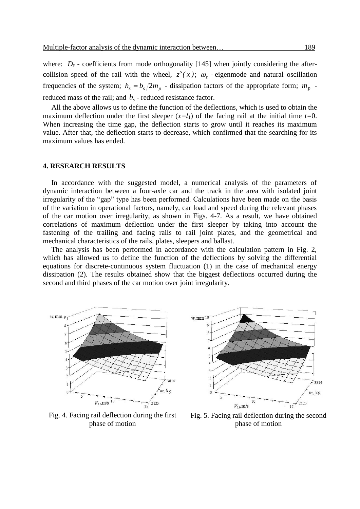where:  $D_s$  - coefficients from mode orthogonality [\[145](#page-8-0)] when jointly considering the aftercollision speed of the rail with the wheel,  $z^{s}(x)$ ;  $\omega_{s}$  - eigenmode and natural oscillation frequencies of the system;  $h_s = b_s/2m_p$  - dissipation factors of the appropriate form;  $m_p$  reduced mass of the rail; and  $b<sub>s</sub>$  - reduced resistance factor.

All the above allows us to define the function of the deflections, which is used to obtain the maximum deflection under the first sleeper  $(x=l_1)$  of the facing rail at the initial time  $t=0$ . When increasing the time gap, the deflection starts to grow until it reaches its maximum value. After that, the deflection starts to decrease, which confirmed that the searching for its maximum values has ended.

#### **4. RESEARCH RESULTS**

In accordance with the suggested model, a numerical analysis of the parameters of dynamic interaction between a four-axle car and the track in the area with isolated joint irregularity of the "gap" type has been performed. Calculations have been made on the basis of the variation in operational factors, namely, car load and speed during the relevant phases of the car motion over irregularity, as shown in Figs. 4-7. As a result, we have obtained correlations of maximum deflection under the first sleeper by taking into account the fastening of the trailing and facing rails to rail joint plates, and the geometrical and mechanical characteristics of the rails, plates, sleepers and ballast.

The analysis has been performed in accordance with the calculation pattern in Fig. 2, which has allowed us to define the function of the deflections by solving the differential equations for discrete-continuous system fluctuation (1) in the case of mechanical energy dissipation (2). The results obtained show that the biggest deflections occurred during the second and third phases of the car motion over joint irregularity.



Fig. 4. Facing rail deflection during the first phase of motion



Fig. 5. Facing rail deflection during the second phase of motion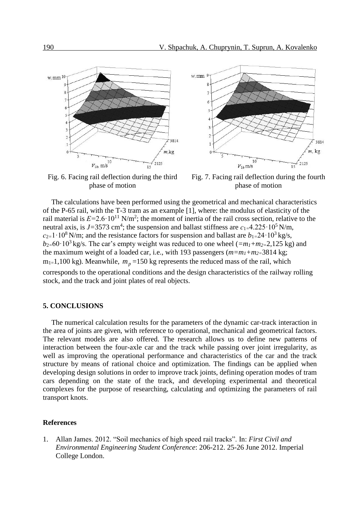

Fig. 6. Facing rail deflection during the third phase of motion



The calculations have been performed using the geometrical and mechanical characteristics of the P-65 rail, with the T-3 tram as an example [1], where: the modulus of elasticity of the rail material is  $E=2.6 \cdot 10^{11} \text{ N/m}^2$ ; the moment of inertia of the rail cross section, relative to the neutral axis, is  $J=3573$  cm<sup>4</sup>; the suspension and ballast stiffness are  $c_{1}=4.225 \cdot 10^{5}$  N/m,  $c_{2=1} \cdot 10^8$  N/m; and the resistance factors for suspension and ballast are  $b_{1=}24 \cdot 10^3$  kg/s,  $b_{2}=60.10^{3}$  kg/s. The car's empty weight was reduced to one wheel ( $=m_1+m_2=2,125$  kg) and the maximum weight of a loaded car, i.e., with 193 passengers (*m=m1+m2=*3814 kg;  $m_{1}$ =1,100 kg). Meanwhile,  $m_p$  =150 kg represents the reduced mass of the rail, which corresponds to the operational conditions and the design characteristics of the railway rolling stock, and the track and joint plates of real objects.

#### **5. CONCLUSIONS**

The numerical calculation results for the parameters of the dynamic car-track interaction in the area of joints are given, with reference to operational, mechanical and geometrical factors. The relevant models are also offered. The research allows us to define new patterns of interaction between the four-axle car and the track while passing over joint irregularity, as well as improving the operational performance and characteristics of the car and the track structure by means of rational choice and optimization. The findings can be applied when developing design solutions in order to improve track joints, defining operation modes of tram cars depending on the state of the track, and developing experimental and theoretical complexes for the purpose of researching, calculating and optimizing the parameters of rail transport knots.

#### **References**

<span id="page-7-0"></span>1. Allan James. 2012. "Soil mechanics of high speed rail tracks". In: *First Civil and Environmental Engineering Student Conference*: 206-212. 25-26 June 2012. Imperial College London.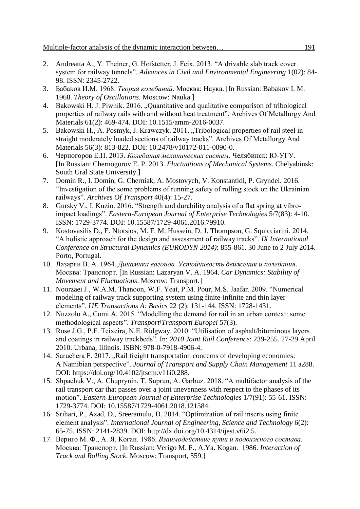- <span id="page-8-1"></span>2. Andreatta A., Y. Theiner, G. Hofstetter, J. Feix. 2013. "A drivable slab track cover system for railway tunnels". *Advances in Civil and Environmental Engineering* 1(02): 84- 98. ISSN: 2345-2722.
- <span id="page-8-2"></span>3. Бабаков И.М. 1968. *Теория колебаний*. Москва: Наука. [In Russian: Babakov I. M. 1968. *Theory of Oscillations*. Moscow: Nauka.]
- 4. Bakowski H. J. Piwnik. 2016. "Quantitative and qualitative comparison of tribological properties of railway rails with and without heat treatment". Archives Of Metallurgy And Materials 61(2): 469-474. DOI: 10.1515/amm-2016-0037.
- 5. Bakowski H., A. Posmyk, J. Krawczyk. 2011. "Tribological properties of rail steel in straight moderately loaded sections of railway tracks". Archives Of Metallurgy And Materials 56(3): 813-822. DOI: 10.2478/v10172-011-0090-0.
- 6. Черногоров Е.П. 2013. *Колебания механических систем*. Челябинск: Ю-УГУ. [In Russian: Chernogorov E. P. 2013. *Fluctuations of Mechanical Systems.* Chelyabinsk: South Ural State University.]
- 7. Domin R., I. Domin, G. Cherniak, A. Mostovych, V. Konstantidi, P. Gryndei. 2016. "Investigation of the some problems of running safety of rolling stock on the Ukrainian railways". *Archives Of Transport* 40(4): 15-27.
- 8. Gursky V., I. Kuzio. 2016. "Strength and durability analysis of a flat spring at vibroimpact loadings". *Eastern-European Journal of Enterprise Technologies* 5/7(83): 4-10. ISSN: 1729-3774. DOI: 10.15587/1729-4061.2016.79910.
- 9. Kostovasilis D., E. Ntotsios, M. F. M. Hussein, D. J. Thompson, G. Squicciarini. 2014. "A holistic approach for the design and assessment of railway tracks". *IX International Conference on Structural Dynamics (EURODYN 2014)*: 855-861. 30 June to 2 July 2014. Porto, Portugal.
- 10. Лазарян В. А. 1964. *Динамика вагонов. Устойчивость движения и колебания*. Москва: Транспорт. [In Russian: Lazaryan V. A. 1964. *Car Dynamics: Stability of Movement and Fluctuations*. Moscow: Transport.]
- 11. Noorzaei J., W.A.M. Thanoon, W.F. Yeat, P.M. Pour, M.S. Jaafar. 2009. "Numerical modeling of railway track supporting system using finite-infinite and thin layer elements". *IJE Transactions A: Basics* 22 (2): 131-144. ISSN: 1728-1431.
- 12. Nuzzolo A., Comi A*.* 2015. "Modelling the demand for rail in an urban context: some methodological aspects". *Transport\Transporti Europei* 57(3).
- 13. Rose J.G., P.F. Teixeira, N.E. Ridgway. 2010. "Utilisation of asphalt/bituminous layers and coatings in railway trackbeds". In: *2010 Joint Rail Conference*: 239-255. 27-29 April 2010. Urbana, Illinois. ISBN: 978-0-7918-4906-4.
- <span id="page-8-0"></span>14. Saruchera F. 2017. "Rail freight transportation concerns of developing economies: A Namibian perspective". *Journal of Transport and Supply Chain Management* 11 a288. DOI: https://doi.org/10.4102/jtscm.v11i0.288.
- 15. Shpachuk V., A. Chuprynin, T. Suprun, A. Garbuz. 2018. "A multifactor analysis of the rail transport car that passes over a joint unevenness with respect to the phases of its motion". *Eastern-European Journal of Enterprise Technologies* 1/7(91): 55-61. ISSN: 1729-3774. DOI: 10.15587/1729-4061.2018.121584.
- 16. Srihari, P., Azad, D., Sreeramulu, D. 2014. "Optimization of rail inserts using finite element analysis". *International Journal of Engineering, Science and Technology* 6(2): 65-75. ISSN: 2141-2839. DOI: http://dx.doi.org/10.4314/ijest.v6i2.5.
- 17. Вериго М. Ф., А. Я. Коган. 1986. *Взаимодействие пути и подвижного состава*. Москва: Транспорт. [In Russian: Verigo M. F., A.Ya. Kogan. 1986. *Interaction of Track and Rolling Stock*. Moscow: Transport, 559.]